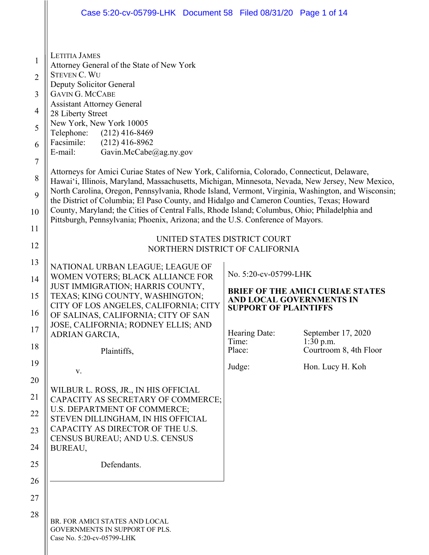|                                                                              | Case 5:20-cv-05799-LHK Document 58 Filed 08/31/20 Page 1 of 14                                                                                                                                                                                                                                                                                                                                                                                                                                                                                                                                                                                                                                                                                                                                                                                 |                       |                                       |  |  |
|------------------------------------------------------------------------------|------------------------------------------------------------------------------------------------------------------------------------------------------------------------------------------------------------------------------------------------------------------------------------------------------------------------------------------------------------------------------------------------------------------------------------------------------------------------------------------------------------------------------------------------------------------------------------------------------------------------------------------------------------------------------------------------------------------------------------------------------------------------------------------------------------------------------------------------|-----------------------|---------------------------------------|--|--|
| $\mathbf{1}$<br>$\overline{2}$<br>3<br>4<br>5<br>6<br>$\tau$<br>8<br>9<br>10 | <b>LETITIA JAMES</b><br>Attorney General of the State of New York<br><b>STEVEN C. WU</b><br>Deputy Solicitor General<br><b>GAVIN G. MCCABE</b><br><b>Assistant Attorney General</b><br>28 Liberty Street<br>New York, New York 10005<br>Telephone: (212) 416-8469<br>Facsimile:<br>$(212)$ 416-8962<br>E-mail:<br>Gavin.McCabe@ag.ny.gov<br>Attorneys for Amici Curiae States of New York, California, Colorado, Connecticut, Delaware,<br>Hawai'i, Illinois, Maryland, Massachusetts, Michigan, Minnesota, Nevada, New Jersey, New Mexico,<br>North Carolina, Oregon, Pennsylvania, Rhode Island, Vermont, Virginia, Washington, and Wisconsin;<br>the District of Columbia; El Paso County, and Hidalgo and Cameron Counties, Texas; Howard<br>County, Maryland; the Cities of Central Falls, Rhode Island; Columbus, Ohio; Philadelphia and |                       |                                       |  |  |
| 11                                                                           | Pittsburgh, Pennsylvania; Phoenix, Arizona; and the U.S. Conference of Mayors.                                                                                                                                                                                                                                                                                                                                                                                                                                                                                                                                                                                                                                                                                                                                                                 |                       |                                       |  |  |
| 12                                                                           | UNITED STATES DISTRICT COURT<br>NORTHERN DISTRICT OF CALIFORNIA                                                                                                                                                                                                                                                                                                                                                                                                                                                                                                                                                                                                                                                                                                                                                                                |                       |                                       |  |  |
| 13                                                                           | NATIONAL URBAN LEAGUE; LEAGUE OF                                                                                                                                                                                                                                                                                                                                                                                                                                                                                                                                                                                                                                                                                                                                                                                                               |                       |                                       |  |  |
| 14                                                                           | WOMEN VOTERS; BLACK ALLIANCE FOR<br>JUST IMMIGRATION; HARRIS COUNTY,                                                                                                                                                                                                                                                                                                                                                                                                                                                                                                                                                                                                                                                                                                                                                                           | No. 5:20-cv-05799-LHK |                                       |  |  |
| 15                                                                           | <b>BRIEF OF THE AMICI CURIAE STATES</b><br>TEXAS; KING COUNTY, WASHINGTON;<br>AND LOCAL GOVERNMENTS IN<br>CITY OF LOS ANGELES, CALIFORNIA; CITY<br><b>SUPPORT OF PLAINTIFFS</b>                                                                                                                                                                                                                                                                                                                                                                                                                                                                                                                                                                                                                                                                |                       |                                       |  |  |
| 16<br>17                                                                     | OF SALINAS, CALIFORNIA; CITY OF SAN<br>JOSE, CALIFORNIA; RODNEY ELLIS; AND                                                                                                                                                                                                                                                                                                                                                                                                                                                                                                                                                                                                                                                                                                                                                                     | Hearing Date:         | September 17, 2020                    |  |  |
| 18                                                                           | ADRIAN GARCIA,                                                                                                                                                                                                                                                                                                                                                                                                                                                                                                                                                                                                                                                                                                                                                                                                                                 | Time:<br>Place:       | $1:30$ p.m.<br>Courtroom 8, 4th Floor |  |  |
| 19                                                                           | Plaintiffs,                                                                                                                                                                                                                                                                                                                                                                                                                                                                                                                                                                                                                                                                                                                                                                                                                                    | Judge:                | Hon. Lucy H. Koh                      |  |  |
| 20                                                                           | V.                                                                                                                                                                                                                                                                                                                                                                                                                                                                                                                                                                                                                                                                                                                                                                                                                                             |                       |                                       |  |  |
| 21                                                                           | WILBUR L. ROSS, JR., IN HIS OFFICIAL<br>CAPACITY AS SECRETARY OF COMMERCE;                                                                                                                                                                                                                                                                                                                                                                                                                                                                                                                                                                                                                                                                                                                                                                     |                       |                                       |  |  |
| 22                                                                           | U.S. DEPARTMENT OF COMMERCE;<br>STEVEN DILLINGHAM, IN HIS OFFICIAL                                                                                                                                                                                                                                                                                                                                                                                                                                                                                                                                                                                                                                                                                                                                                                             |                       |                                       |  |  |
| 23                                                                           | CAPACITY AS DIRECTOR OF THE U.S.                                                                                                                                                                                                                                                                                                                                                                                                                                                                                                                                                                                                                                                                                                                                                                                                               |                       |                                       |  |  |
| 24                                                                           | CENSUS BUREAU; AND U.S. CENSUS<br>BUREAU,                                                                                                                                                                                                                                                                                                                                                                                                                                                                                                                                                                                                                                                                                                                                                                                                      |                       |                                       |  |  |
| 25                                                                           | Defendants.                                                                                                                                                                                                                                                                                                                                                                                                                                                                                                                                                                                                                                                                                                                                                                                                                                    |                       |                                       |  |  |
| 26                                                                           |                                                                                                                                                                                                                                                                                                                                                                                                                                                                                                                                                                                                                                                                                                                                                                                                                                                |                       |                                       |  |  |
| 27                                                                           |                                                                                                                                                                                                                                                                                                                                                                                                                                                                                                                                                                                                                                                                                                                                                                                                                                                |                       |                                       |  |  |
| 28                                                                           | BR. FOR AMICI STATES AND LOCAL<br>GOVERNMENTS IN SUPPORT OF PLS.<br>Case No. 5:20-cv-05799-LHK                                                                                                                                                                                                                                                                                                                                                                                                                                                                                                                                                                                                                                                                                                                                                 |                       |                                       |  |  |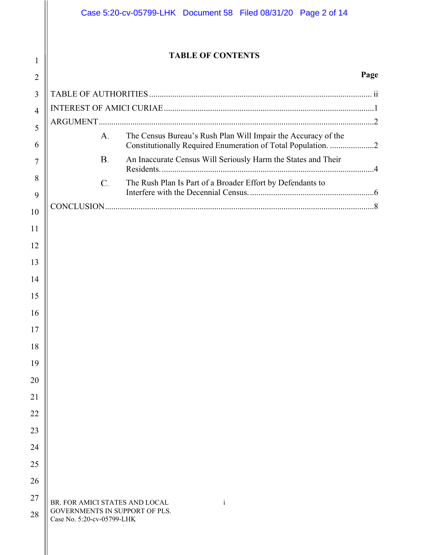## **TABLE OF CONTENTS**

1

### **Page**

| $\overline{2}$ |                                                              |  |                                                                                                                               | Page |
|----------------|--------------------------------------------------------------|--|-------------------------------------------------------------------------------------------------------------------------------|------|
| 3              |                                                              |  |                                                                                                                               |      |
| $\overline{4}$ |                                                              |  |                                                                                                                               |      |
| 5              |                                                              |  |                                                                                                                               |      |
| 6              | A.                                                           |  | The Census Bureau's Rush Plan Will Impair the Accuracy of the<br>Constitutionally Required Enumeration of Total Population. 2 |      |
| 7              | <b>B.</b>                                                    |  | An Inaccurate Census Will Seriously Harm the States and Their                                                                 |      |
| 8<br>9         | C.                                                           |  | The Rush Plan Is Part of a Broader Effort by Defendants to                                                                    |      |
|                |                                                              |  |                                                                                                                               |      |
| 10             |                                                              |  |                                                                                                                               |      |
| 11<br>12       |                                                              |  |                                                                                                                               |      |
| 13             |                                                              |  |                                                                                                                               |      |
| 14             |                                                              |  |                                                                                                                               |      |
| 15             |                                                              |  |                                                                                                                               |      |
| 16             |                                                              |  |                                                                                                                               |      |
| 17             |                                                              |  |                                                                                                                               |      |
| 18             |                                                              |  |                                                                                                                               |      |
| 19             |                                                              |  |                                                                                                                               |      |
| 20             |                                                              |  |                                                                                                                               |      |
| 21             |                                                              |  |                                                                                                                               |      |
| 22             |                                                              |  |                                                                                                                               |      |
| 23             |                                                              |  |                                                                                                                               |      |
| 24             |                                                              |  |                                                                                                                               |      |
| 25             |                                                              |  |                                                                                                                               |      |
| 26             |                                                              |  |                                                                                                                               |      |
| 27             | BR. FOR AMICI STATES AND LOCAL                               |  |                                                                                                                               |      |
| 28             | GOVERNMENTS IN SUPPORT OF PLS.<br>Case No. 5:20-cv-05799-LHK |  | $\mathbf{i}$                                                                                                                  |      |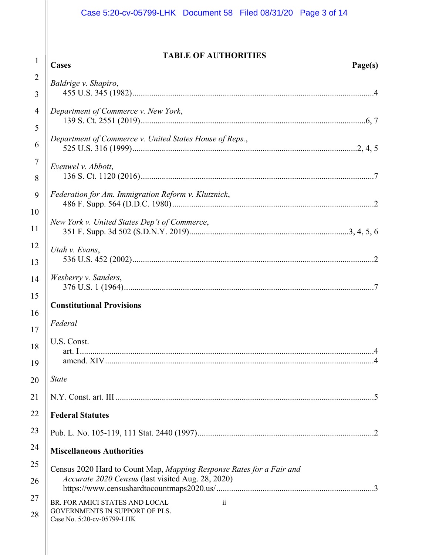## Case 5:20-cv-05799-LHK Document 58 Filed 08/31/20 Page 3 of 14

## **TABLE OF AUTHORITIES**

| 1              | TABLE OF AUTHORITIES<br>Cases<br>Page(s)                             |  |  |
|----------------|----------------------------------------------------------------------|--|--|
| $\overline{2}$ |                                                                      |  |  |
| 3              | Baldrige v. Shapiro,                                                 |  |  |
|                |                                                                      |  |  |
| 4              | Department of Commerce v. New York,                                  |  |  |
| 5              | Department of Commerce v. United States House of Reps.,              |  |  |
| 6              |                                                                      |  |  |
| $\overline{7}$ | Evenwel v. Abbott,                                                   |  |  |
| 8              |                                                                      |  |  |
| 9              | Federation for Am. Immigration Reform v. Klutznick,                  |  |  |
| 10             |                                                                      |  |  |
| 11             | New York v. United States Dep't of Commerce,                         |  |  |
| 12             | Utah v. Evans,                                                       |  |  |
| 13             |                                                                      |  |  |
| 14             | Wesberry v. Sanders,                                                 |  |  |
| 15             |                                                                      |  |  |
| 16             | <b>Constitutional Provisions</b>                                     |  |  |
| 17             | Federal                                                              |  |  |
| 18             | U.S. Const.                                                          |  |  |
| 19             |                                                                      |  |  |
| 20             | <b>State</b>                                                         |  |  |
| 21             |                                                                      |  |  |
| 22             | <b>Federal Statutes</b>                                              |  |  |
| 23             |                                                                      |  |  |
| 24             | <b>Miscellaneous Authorities</b>                                     |  |  |
| 25             | Census 2020 Hard to Count Map, Mapping Response Rates for a Fair and |  |  |
| 26             | Accurate 2020 Census (last visited Aug. 28, 2020)                    |  |  |
| 27             | BR. FOR AMICI STATES AND LOCAL<br>$\ddot{\mathbf{i}}$                |  |  |
| 28             | GOVERNMENTS IN SUPPORT OF PLS.<br>Case No. 5:20-cv-05799-LHK         |  |  |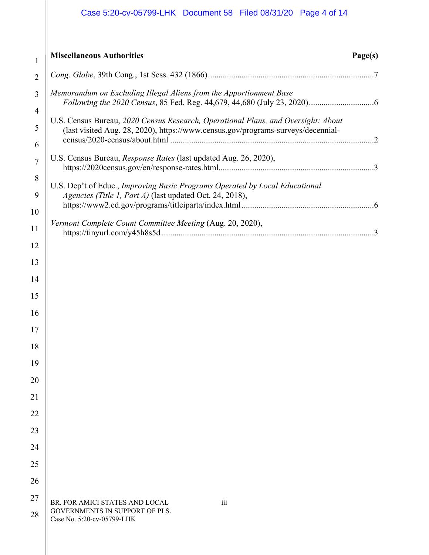# Case 5:20-cv-05799-LHK Document 58 Filed 08/31/20 Page 4 of 14

| $\overline{2}$<br>Memorandum on Excluding Illegal Aliens from the Apportionment Base<br>3<br>$\overline{4}$<br>U.S. Census Bureau, 2020 Census Research, Operational Plans, and Oversight: About<br>5<br>(last visited Aug. 28, 2020), https://www.census.gov/programs-surveys/decennial-<br>6<br>U.S. Census Bureau, Response Rates (last updated Aug. 26, 2020),<br>$\overline{7}$<br>8<br>U.S. Dep't of Educ., Improving Basic Programs Operated by Local Educational<br>9<br>Agencies (Title 1, Part A) (last updated Oct. 24, 2018),<br>10<br>Vermont Complete Count Committee Meeting (Aug. 20, 2020),<br>11<br>12<br>13<br>14<br>15<br>16<br>17<br>18<br>19<br>20<br>21<br>22<br>23<br>24<br>25<br>26<br>27<br>$\overline{\text{iii}}$<br>BR. FOR AMICI STATES AND LOCAL | $\mathbf{1}$ | <b>Miscellaneous Authorities</b> | Page(s) |  |
|---------------------------------------------------------------------------------------------------------------------------------------------------------------------------------------------------------------------------------------------------------------------------------------------------------------------------------------------------------------------------------------------------------------------------------------------------------------------------------------------------------------------------------------------------------------------------------------------------------------------------------------------------------------------------------------------------------------------------------------------------------------------------------|--------------|----------------------------------|---------|--|
|                                                                                                                                                                                                                                                                                                                                                                                                                                                                                                                                                                                                                                                                                                                                                                                 |              |                                  |         |  |
|                                                                                                                                                                                                                                                                                                                                                                                                                                                                                                                                                                                                                                                                                                                                                                                 |              |                                  |         |  |
|                                                                                                                                                                                                                                                                                                                                                                                                                                                                                                                                                                                                                                                                                                                                                                                 |              |                                  |         |  |
|                                                                                                                                                                                                                                                                                                                                                                                                                                                                                                                                                                                                                                                                                                                                                                                 |              |                                  |         |  |
|                                                                                                                                                                                                                                                                                                                                                                                                                                                                                                                                                                                                                                                                                                                                                                                 |              |                                  |         |  |
|                                                                                                                                                                                                                                                                                                                                                                                                                                                                                                                                                                                                                                                                                                                                                                                 |              |                                  |         |  |
|                                                                                                                                                                                                                                                                                                                                                                                                                                                                                                                                                                                                                                                                                                                                                                                 |              |                                  |         |  |
|                                                                                                                                                                                                                                                                                                                                                                                                                                                                                                                                                                                                                                                                                                                                                                                 |              |                                  |         |  |
|                                                                                                                                                                                                                                                                                                                                                                                                                                                                                                                                                                                                                                                                                                                                                                                 |              |                                  |         |  |
|                                                                                                                                                                                                                                                                                                                                                                                                                                                                                                                                                                                                                                                                                                                                                                                 |              |                                  |         |  |
|                                                                                                                                                                                                                                                                                                                                                                                                                                                                                                                                                                                                                                                                                                                                                                                 |              |                                  |         |  |
|                                                                                                                                                                                                                                                                                                                                                                                                                                                                                                                                                                                                                                                                                                                                                                                 |              |                                  |         |  |
|                                                                                                                                                                                                                                                                                                                                                                                                                                                                                                                                                                                                                                                                                                                                                                                 |              |                                  |         |  |
|                                                                                                                                                                                                                                                                                                                                                                                                                                                                                                                                                                                                                                                                                                                                                                                 |              |                                  |         |  |
|                                                                                                                                                                                                                                                                                                                                                                                                                                                                                                                                                                                                                                                                                                                                                                                 |              |                                  |         |  |
|                                                                                                                                                                                                                                                                                                                                                                                                                                                                                                                                                                                                                                                                                                                                                                                 |              |                                  |         |  |
|                                                                                                                                                                                                                                                                                                                                                                                                                                                                                                                                                                                                                                                                                                                                                                                 |              |                                  |         |  |
|                                                                                                                                                                                                                                                                                                                                                                                                                                                                                                                                                                                                                                                                                                                                                                                 |              |                                  |         |  |
|                                                                                                                                                                                                                                                                                                                                                                                                                                                                                                                                                                                                                                                                                                                                                                                 |              |                                  |         |  |
|                                                                                                                                                                                                                                                                                                                                                                                                                                                                                                                                                                                                                                                                                                                                                                                 |              |                                  |         |  |
|                                                                                                                                                                                                                                                                                                                                                                                                                                                                                                                                                                                                                                                                                                                                                                                 |              |                                  |         |  |
| 28<br>Case No. 5:20-cv-05799-LHK                                                                                                                                                                                                                                                                                                                                                                                                                                                                                                                                                                                                                                                                                                                                                |              | GOVERNMENTS IN SUPPORT OF PLS.   |         |  |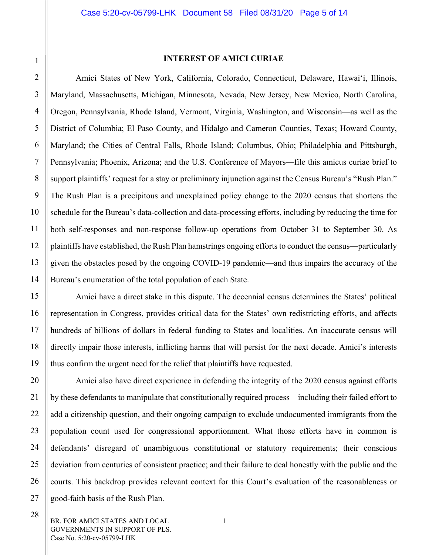#### **INTEREST OF AMICI CURIAE**

<span id="page-4-0"></span>Amici States of New York, California, Colorado, Connecticut, Delaware, Hawai'i, Illinois, Maryland, Massachusetts, Michigan, Minnesota, Nevada, New Jersey, New Mexico, North Carolina, Oregon, Pennsylvania, Rhode Island, Vermont, Virginia, Washington, and Wisconsin—as well as the District of Columbia; El Paso County, and Hidalgo and Cameron Counties, Texas; Howard County, Maryland; the Cities of Central Falls, Rhode Island; Columbus, Ohio; Philadelphia and Pittsburgh, Pennsylvania; Phoenix, Arizona; and the U.S. Conference of Mayors—file this amicus curiae brief to support plaintiffs' request for a stay or preliminary injunction against the Census Bureau's "Rush Plan." The Rush Plan is a precipitous and unexplained policy change to the 2020 census that shortens the schedule for the Bureau's data-collection and data-processing efforts, including by reducing the time for both self-responses and non-response follow-up operations from October 31 to September 30. As plaintiffs have established, the Rush Plan hamstrings ongoing efforts to conduct the census—particularly given the obstacles posed by the ongoing COVID-19 pandemic—and thus impairs the accuracy of the Bureau's enumeration of the total population of each State.

Amici have a direct stake in this dispute. The decennial census determines the States' political representation in Congress, provides critical data for the States' own redistricting efforts, and affects hundreds of billions of dollars in federal funding to States and localities. An inaccurate census will directly impair those interests, inflicting harms that will persist for the next decade. Amici's interests thus confirm the urgent need for the relief that plaintiffs have requested.

Amici also have direct experience in defending the integrity of the 2020 census against efforts by these defendants to manipulate that constitutionally required process—including their failed effort to add a citizenship question, and their ongoing campaign to exclude undocumented immigrants from the population count used for congressional apportionment. What those efforts have in common is defendants' disregard of unambiguous constitutional or statutory requirements; their conscious deviation from centuries of consistent practice; and their failure to deal honestly with the public and the courts. This backdrop provides relevant context for this Court's evaluation of the reasonableness or good-faith basis of the Rush Plan.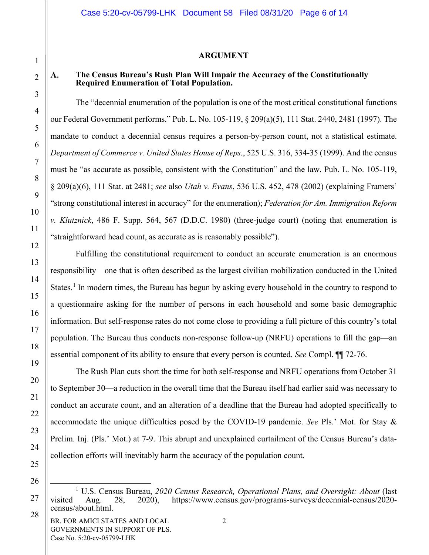#### **ARGUMENT**

### **The Census Bureau's Rush Plan Will Impair the Accuracy of the Constitutionally Required Enumeration of Total Population.**

The "decennial enumeration of the population is one of the most critical constitutional functions our Federal Government performs." Pub. L. No. 105-119, § 209(a)(5), 111 Stat. 2440, 2481 (1997). The mandate to conduct a decennial census requires a person-by-person count, not a statistical estimate. *Department of Commerce v. United States House of Reps.*, 525 U.S. 316, 334-35 (1999). And the census must be "as accurate as possible, consistent with the Constitution" and the law. Pub. L. No. 105-119, § 209(a)(6), 111 Stat. at 2481; *see* also *Utah v. Evans*, 536 U.S. 452, 478 (2002) (explaining Framers' "strong constitutional interest in accuracy" for the enumeration); *Federation for Am. Immigration Reform v. Klutznick*, 486 F. Supp. 564, 567 (D.D.C. 1980) (three-judge court) (noting that enumeration is "straightforward head count, as accurate as is reasonably possible").

Fulfilling the constitutional requirement to conduct an accurate enumeration is an enormous responsibility—one that is often described as the largest civilian mobilization conducted in the United States.<sup>[1](#page-5-2)</sup> In modern times, the Bureau has begun by asking every household in the country to respond to a questionnaire asking for the number of persons in each household and some basic demographic information. But self-response rates do not come close to providing a full picture of this country's total population. The Bureau thus conducts non-response follow-up (NRFU) operations to fill the gap—an essential component of its ability to ensure that every person is counted. *See* Compl. ¶¶ 72-76.

The Rush Plan cuts short the time for both self-response and NRFU operations from October 31 to September 30—a reduction in the overall time that the Bureau itself had earlier said was necessary to conduct an accurate count, and an alteration of a deadline that the Bureau had adopted specifically to accommodate the unique difficulties posed by the COVID-19 pandemic. *See* Pls.' Mot. for Stay & Prelim. Inj. (Pls.' Mot.) at 7-9. This abrupt and unexplained curtailment of the Census Bureau's datacollection efforts will inevitably harm the accuracy of the population count.

<span id="page-5-1"></span><span id="page-5-0"></span>A.

<span id="page-5-2"></span> <sup>1</sup> U.S. Census Bureau, *2020 Census Research, Operational Plans, and Oversight: About* (last visited Aug. 28, 2020), [https://www.census.gov/programs-surveys/decennial-census/2020](https://www.census.gov/programs-surveys/decennial-census/2020-census/about.html) [census/about.html.](https://www.census.gov/programs-surveys/decennial-census/2020-census/about.html)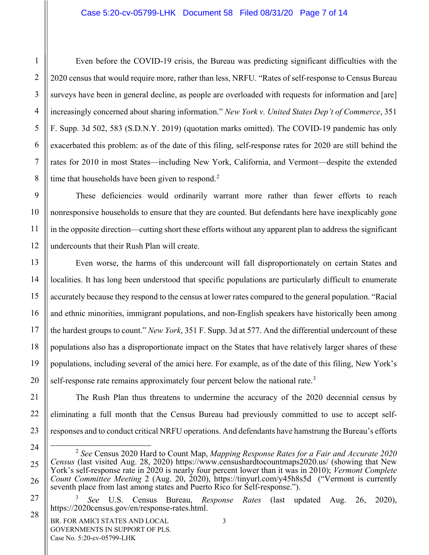#### Case 5:20-cv-05799-LHK Document 58 Filed 08/31/20 Page 7 of 14

Even before the COVID-19 crisis, the Bureau was predicting significant difficulties with the 2020 census that would require more, rather than less, NRFU. "Rates of self-response to Census Bureau surveys have been in general decline, as people are overloaded with requests for information and [are] increasingly concerned about sharing information." *New York v. United States Dep't of Commerce*, 351 F. Supp. 3d 502, 583 (S.D.N.Y. 2019) (quotation marks omitted). The COVID-19 pandemic has only exacerbated this problem: as of the date of this filing, self-response rates for 2020 are still behind the rates for 2010 in most States—including New York, California, and Vermont—despite the extended time that households have been given to respond. $2$ 

These deficiencies would ordinarily warrant more rather than fewer efforts to reach nonresponsive households to ensure that they are counted. But defendants here have inexplicably gone in the opposite direction—cutting short these efforts without any apparent plan to address the significant undercounts that their Rush Plan will create.

Even worse, the harms of this undercount will fall disproportionately on certain States and localities. It has long been understood that specific populations are particularly difficult to enumerate accurately because they respond to the census at lower rates compared to the general population. "Racial and ethnic minorities, immigrant populations, and non-English speakers have historically been among the hardest groups to count." *New York*, 351 F. Supp. 3d at 577. And the differential undercount of these populations also has a disproportionate impact on the States that have relatively larger shares of these populations, including several of the amici here. For example, as of the date of this filing, New York's self-response rate remains approximately four percent below the national rate.<sup>[3](#page-6-1)</sup>

The Rush Plan thus threatens to undermine the accuracy of the 2020 decennial census by eliminating a full month that the Census Bureau had previously committed to use to accept selfresponses and to conduct critical NRFU operations. And defendants have hamstrung the Bureau's efforts

1

2

3

4

5

6

7

8

9

10

11

12

13

14

15

16

17

18

19

20

21

22

23

<span id="page-6-0"></span>24

25

26

<span id="page-6-1"></span>27

28

 <sup>2</sup> *See* Census 2020 Hard to Count Map, *Mapping Response Rates for a Fair and Accurate 2020 Census* (last visited Aug. 28, 2020)<https://www.censushardtocountmaps2020.us/> (showing that New York's self-response rate in 2020 is nearly four percent lower than it was in 2010); *Vermont Complete Count Committee Meeting* 2 (Aug. 20, 2020), https://tinyurl.com/y45h8s5d ("Vermont is currently seventh place from last among states and Puerto Rico for Self-response.").

<sup>3</sup> *See* U.S. Census Bureau, *Response Rates* (last updated Aug. 26, 2020), [https://2020census.gov/en/response-rates.html.](https://2020census.gov/en/response-rates.html)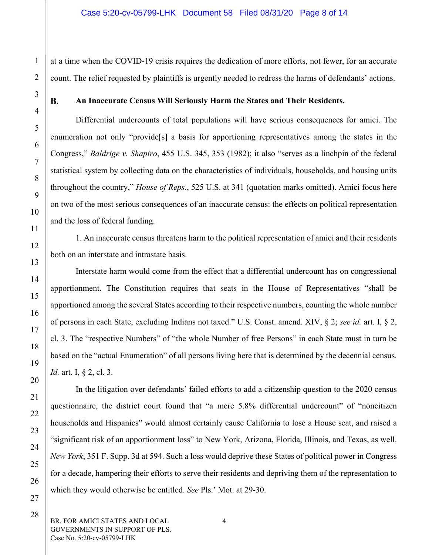at a time when the COVID-19 crisis requires the dedication of more efforts, not fewer, for an accurate count. The relief requested by plaintiffs is urgently needed to redress the harms of defendants' actions.

#### <span id="page-7-0"></span>**B.**

1

2

3

4

5

6

7

8

9

10

11

12

13

14

15

16

17

18

19

20

21

22

23

24

25

26

27

28

### **An Inaccurate Census Will Seriously Harm the States and Their Residents.**

Differential undercounts of total populations will have serious consequences for amici. The enumeration not only "provide[s] a basis for apportioning representatives among the states in the Congress," *Baldrige v. Shapiro*, 455 U.S. 345, 353 (1982); it also "serves as a linchpin of the federal statistical system by collecting data on the characteristics of individuals, households, and housing units throughout the country," *House of Reps.*, 525 U.S. at 341 (quotation marks omitted). Amici focus here on two of the most serious consequences of an inaccurate census: the effects on political representation and the loss of federal funding.

1. An inaccurate census threatens harm to the political representation of amici and their residents both on an interstate and intrastate basis.

Interstate harm would come from the effect that a differential undercount has on congressional apportionment. The Constitution requires that seats in the House of Representatives "shall be apportioned among the several States according to their respective numbers, counting the whole number of persons in each State, excluding Indians not taxed." U.S. Const. amend. XIV, § 2; *see id.* art. I, § 2, cl. 3. The "respective Numbers" of "the whole Number of free Persons" in each State must in turn be based on the "actual Enumeration" of all persons living here that is determined by the decennial census. *Id.* art. I, § 2, cl. 3.

In the litigation over defendants' failed efforts to add a citizenship question to the 2020 census questionnaire, the district court found that "a mere 5.8% differential undercount" of "noncitizen households and Hispanics" would almost certainly cause California to lose a House seat, and raised a "significant risk of an apportionment loss" to New York, Arizona, Florida, Illinois, and Texas, as well. *New York*, 351 F. Supp. 3d at 594. Such a loss would deprive these States of political power in Congress for a decade, hampering their efforts to serve their residents and depriving them of the representation to which they would otherwise be entitled. *See* Pls.' Mot. at 29-30.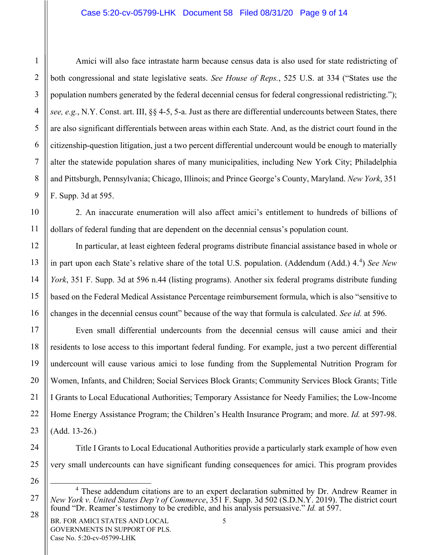#### Case 5:20-cv-05799-LHK Document 58 Filed 08/31/20 Page 9 of 14

Amici will also face intrastate harm because census data is also used for state redistricting of both congressional and state legislative seats. *See House of Reps.*, 525 U.S. at 334 ("States use the population numbers generated by the federal decennial census for federal congressional redistricting."); *see, e.g.*, N.Y. Const. art. III, §§ 4-5, 5-a. Just as there are differential undercounts between States, there are also significant differentials between areas within each State. And, as the district court found in the citizenship-question litigation, just a two percent differential undercount would be enough to materially alter the statewide population shares of many municipalities, including New York City; Philadelphia and Pittsburgh, Pennsylvania; Chicago, Illinois; and Prince George's County, Maryland. *New York*, 351 F. Supp. 3d at 595.

2. An inaccurate enumeration will also affect amici's entitlement to hundreds of billions of dollars of federal funding that are dependent on the decennial census's population count.

In particular, at least eighteen federal programs distribute financial assistance based in whole or in part upon each State's relative share of the total U.S. population. (Addendum (Add.) [4](#page-8-0).<sup>4</sup>) See New *York*, 351 F. Supp. 3d at 596 n.44 (listing programs). Another six federal programs distribute funding based on the Federal Medical Assistance Percentage reimbursement formula, which is also "sensitive to changes in the decennial census count" because of the way that formula is calculated. *See id.* at 596.

Even small differential undercounts from the decennial census will cause amici and their residents to lose access to this important federal funding. For example, just a two percent differential undercount will cause various amici to lose funding from the Supplemental Nutrition Program for Women, Infants, and Children; Social Services Block Grants; Community Services Block Grants; Title I Grants to Local Educational Authorities; Temporary Assistance for Needy Families; the Low-Income Home Energy Assistance Program; the Children's Health Insurance Program; and more. *Id.* at 597-98. (Add. 13-26.)

Title I Grants to Local Educational Authorities provide a particularly stark example of how even very small undercounts can have significant funding consequences for amici. This program provides

1

2

3

<span id="page-8-0"></span><sup>&</sup>lt;sup>4</sup> These addendum citations are to an expert declaration submitted by Dr. Andrew Reamer in *New York v. United States Dep't of Commerce*, 351 F. Supp. 3d 502 (S.D.N.Y. 2019). The district court found "Dr. Reamer's testimony to be credible, and his analysis persuasive." *Id.* at 597.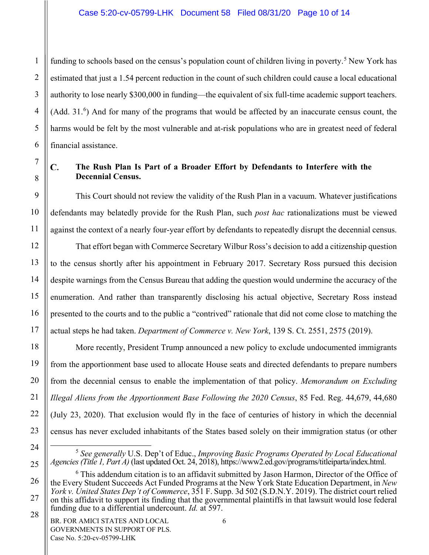funding to schools based on the census's population count of children living in poverty.<sup>[5](#page-9-1)</sup> New York has estimated that just a 1.54 percent reduction in the count of such children could cause a local educational authority to lose nearly \$300,000 in funding—the equivalent of six full-time academic support teachers. (Add. 31.<sup>[6](#page-9-2)</sup>) And for many of the programs that would be affected by an inaccurate census count, the harms would be felt by the most vulnerable and at-risk populations who are in greatest need of federal financial assistance.

#### <span id="page-9-0"></span>C. **The Rush Plan Is Part of a Broader Effort by Defendants to Interfere with the Decennial Census.**

This Court should not review the validity of the Rush Plan in a vacuum. Whatever justifications defendants may belatedly provide for the Rush Plan, such *post hac* rationalizations must be viewed against the context of a nearly four-year effort by defendants to repeatedly disrupt the decennial census.

That effort began with Commerce Secretary Wilbur Ross's decision to add a citizenship question to the census shortly after his appointment in February 2017. Secretary Ross pursued this decision despite warnings from the Census Bureau that adding the question would undermine the accuracy of the enumeration. And rather than transparently disclosing his actual objective, Secretary Ross instead presented to the courts and to the public a "contrived" rationale that did not come close to matching the actual steps he had taken. *Department of Commerce v. New York*, 139 S. Ct. 2551, 2575 (2019).

More recently, President Trump announced a new policy to exclude undocumented immigrants from the apportionment base used to allocate House seats and directed defendants to prepare numbers from the decennial census to enable the implementation of that policy. *Memorandum on Excluding Illegal Aliens from the Apportionment Base Following the 2020 Census*, 85 Fed. Reg. 44,679, 44,680 (July 23, 2020). That exclusion would fly in the face of centuries of history in which the decennial census has never excluded inhabitants of the States based solely on their immigration status (or other

6

1

 <sup>5</sup> *See generally* U.S. Dep't of Educ., *Improving Basic Programs Operated by Local Educational Agencies (Title 1, Part A)* (last updated Oct. 24, 2018), [https://www2.ed.gov/programs/titleiparta/index.html.](https://www2.ed.gov/programs/titleiparta/index.html) 

<span id="page-9-2"></span><span id="page-9-1"></span> $6$  This addendum citation is to an affidavit submitted by Jason Harmon, Director of the Office of the Every Student Succeeds Act Funded Programs at the New York State Education Department, in *New York v. United States Dep't of Commerce*, 351 F. Supp. 3d 502 (S.D.N.Y. 2019). The district court relied on this affidavit to support its finding that the governmental plaintiffs in that lawsuit would lose federal funding due to a differential undercount. *Id.* at 597.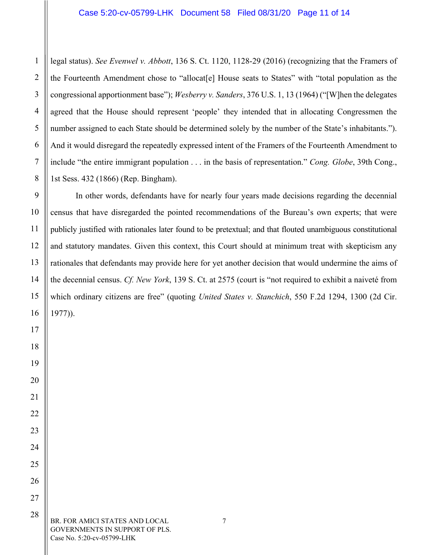legal status). *See Evenwel v. Abbott*, 136 S. Ct. 1120, 1128-29 (2016) (recognizing that the Framers of the Fourteenth Amendment chose to "allocat[e] House seats to States" with "total population as the congressional apportionment base"); *Wesberry v. Sanders*, 376 U.S. 1, 13 (1964) ("[W]hen the delegates agreed that the House should represent 'people' they intended that in allocating Congressmen the number assigned to each State should be determined solely by the number of the State's inhabitants."). And it would disregard the repeatedly expressed intent of the Framers of the Fourteenth Amendment to include "the entire immigrant population . . . in the basis of representation." *Cong. Globe*, 39th Cong., 1st Sess. 432 (1866) (Rep. Bingham).

In other words, defendants have for nearly four years made decisions regarding the decennial census that have disregarded the pointed recommendations of the Bureau's own experts; that were publicly justified with rationales later found to be pretextual; and that flouted unambiguous constitutional and statutory mandates. Given this context, this Court should at minimum treat with skepticism any rationales that defendants may provide here for yet another decision that would undermine the aims of the decennial census. *Cf. New York*, 139 S. Ct. at 2575 (court is "not required to exhibit a naiveté from which ordinary citizens are free" (quoting *United States v. Stanchich*, 550 F.2d 1294, 1300 (2d Cir. 1977)).

BR. FOR AMICI STATES AND LOCAL GOVERNMENTS IN SUPPORT OF PLS. Case No. 5:20-cv-05799-LHK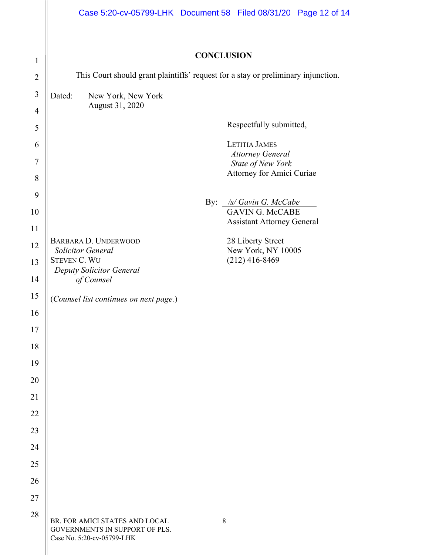<span id="page-11-0"></span>

|                | Case 5:20-cv-05799-LHK  Document 58  Filed 08/31/20  Page 12  of 14                            |             |                                                                      |  |  |
|----------------|------------------------------------------------------------------------------------------------|-------------|----------------------------------------------------------------------|--|--|
|                | <b>CONCLUSION</b>                                                                              |             |                                                                      |  |  |
| $\mathbf{1}$   |                                                                                                |             |                                                                      |  |  |
| $\overline{2}$ | This Court should grant plaintiffs' request for a stay or preliminary injunction.              |             |                                                                      |  |  |
| $\mathfrak{Z}$ | Dated:<br>New York, New York<br>August 31, 2020                                                |             |                                                                      |  |  |
| $\overline{4}$ |                                                                                                |             |                                                                      |  |  |
| 5              |                                                                                                |             | Respectfully submitted,                                              |  |  |
| 6<br>7         |                                                                                                |             | <b>LETITIA JAMES</b><br><b>Attorney General</b><br>State of New York |  |  |
| 8              |                                                                                                |             | Attorney for Amici Curiae                                            |  |  |
| 9              |                                                                                                |             |                                                                      |  |  |
| 10             |                                                                                                |             | By: /s/ Gavin G. McCabe<br><b>GAVIN G. McCABE</b>                    |  |  |
| 11             |                                                                                                |             | <b>Assistant Attorney General</b>                                    |  |  |
| 12             | BARBARA D. UNDERWOOD                                                                           |             | 28 Liberty Street                                                    |  |  |
| 13             | <b>Solicitor General</b><br><b>STEVEN C. WU</b>                                                |             | New York, NY 10005<br>$(212)$ 416-8469                               |  |  |
| 14             | Deputy Solicitor General<br>of Counsel                                                         |             |                                                                      |  |  |
| 15             |                                                                                                |             |                                                                      |  |  |
| 16             | (Counsel list continues on next page.)                                                         |             |                                                                      |  |  |
| 17             |                                                                                                |             |                                                                      |  |  |
| 18             |                                                                                                |             |                                                                      |  |  |
| 19             |                                                                                                |             |                                                                      |  |  |
| 20             |                                                                                                |             |                                                                      |  |  |
| 21             |                                                                                                |             |                                                                      |  |  |
| 22             |                                                                                                |             |                                                                      |  |  |
| 23             |                                                                                                |             |                                                                      |  |  |
| 24             |                                                                                                |             |                                                                      |  |  |
| 25             |                                                                                                |             |                                                                      |  |  |
| 26             |                                                                                                |             |                                                                      |  |  |
| 27             |                                                                                                |             |                                                                      |  |  |
| 28             |                                                                                                |             |                                                                      |  |  |
|                | BR. FOR AMICI STATES AND LOCAL<br>GOVERNMENTS IN SUPPORT OF PLS.<br>Case No. 5:20-cv-05799-LHK | $\,$ 8 $\,$ |                                                                      |  |  |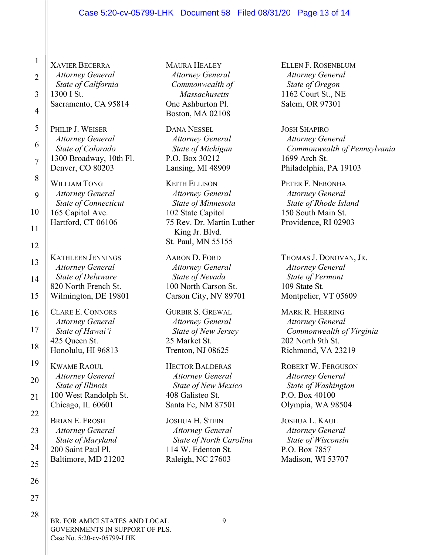#### Case 5:20-cv-05799-LHK Document 58 Filed 08/31/20 Page 13 of 14

XAVIER BECERRA *Attorney General State of California* 1300 I St. Sacramento, CA 95814

1

2

3

4

5

6

7

8

9

10

11

12

13

14

15

16

17

18

19

20

21

22

23

24

25

26

27

28

PHILIP J. WEISER *Attorney General State of Colorado*  1300 Broadway, 10th Fl. Denver, CO 80203

WILLIAM TONG *Attorney General State of Connecticut*  165 Capitol Ave. Hartford, CT 06106

KATHLEEN JENNINGS *Attorney General State of Delaware*  820 North French St. Wilmington, DE 19801

CLARE E. CONNORS *Attorney General State of Hawai'i* 425 Queen St. Honolulu, HI 96813

KWAME RAOUL *Attorney General State of Illinois* 100 West Randolph St. Chicago, IL 60601

BRIAN E. FROSH *Attorney General State of Maryland*  200 Saint Paul Pl. Baltimore, MD 21202 MAURA HEALEY *Attorney General Commonwealth of Massachusetts* One Ashburton Pl. Boston, MA 02108

DANA NESSEL *Attorney General State of Michigan*  P.O. Box 30212 Lansing, MI 48909

KEITH ELLISON *Attorney General State of Minnesota* 102 State Capitol 75 Rev. Dr. Martin Luther King Jr. Blvd. St. Paul, MN 55155

AARON D. FORD *Attorney General State of Nevada*  100 North Carson St. Carson City, NV 89701

GURBIR S. GREWAL *Attorney General State of New Jersey* 25 Market St. Trenton, NJ 08625

HECTOR BALDERAS *Attorney General State of New Mexico* 408 Galisteo St. Santa Fe, NM 87501

JOSHUA H. STEIN *Attorney General State of North Carolina*  114 W. Edenton St. Raleigh, NC 27603

ELLEN F. ROSENBLUM *Attorney General State of Oregon*  1162 Court St., NE Salem, OR 97301

JOSH SHAPIRO *Attorney General Commonwealth of Pennsylvania* 1699 Arch St. Philadelphia, PA 19103

PETER F. NERONHA *Attorney General State of Rhode Island*  150 South Main St. Providence, RI 02903

THOMAS J. DONOVAN, JR. *Attorney General State of Vermont*  109 State St. Montpelier, VT 05609

MARK R. HERRING *Attorney General Commonwealth of Virginia*  202 North 9th St. Richmond, VA 23219

ROBERT W. FERGUSON *Attorney General State of Washington*  P.O. Box 40100 Olympia, WA 98504

JOSHUA L. KAUL *Attorney General State of Wisconsin* P.O. Box 7857 Madison, WI 53707